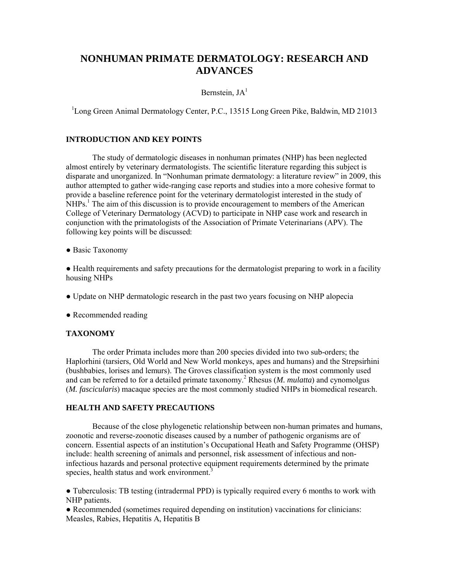# **NONHUMAN PRIMATE DERMATOLOGY: RESEARCH AND ADVANCES**

## Bernstein,  $JA<sup>1</sup>$

<sup>1</sup>Long Green Animal Dermatology Center, P.C., 13515 Long Green Pike, Baldwin, MD 21013

## **INTRODUCTION AND KEY POINTS**

The study of dermatologic diseases in nonhuman primates (NHP) has been neglected almost entirely by veterinary dermatologists. The scientific literature regarding this subject is disparate and unorganized. In "Nonhuman primate dermatology: a literature review" in 2009, this author attempted to gather wide-ranging case reports and studies into a more cohesive format to provide a baseline reference point for the veterinary dermatologist interested in the study of  $NHPs<sup>1</sup>$ . The aim of this discussion is to provide encouragement to members of the American College of Veterinary Dermatology (ACVD) to participate in NHP case work and research in conjunction with the primatologists of the Association of Primate Veterinarians (APV). The following key points will be discussed:

● Basic Taxonomy

● Health requirements and safety precautions for the dermatologist preparing to work in a facility housing NHPs

- Update on NHP dermatologic research in the past two years focusing on NHP alopecia
- Recommended reading

#### **TAXONOMY**

The order Primata includes more than 200 species divided into two sub-orders; the Haplorhini (tarsiers, Old World and New World monkeys, apes and humans) and the Strepsirhini (bushbabies, lorises and lemurs). The Groves classification system is the most commonly used and can be referred to for a detailed primate taxonomy.<sup>2</sup> Rhesus (*M. mulatta*) and cynomolgus (*M. fascicularis*) macaque species are the most commonly studied NHPs in biomedical research.

#### **HEALTH AND SAFETY PRECAUTIONS**

Because of the close phylogenetic relationship between non-human primates and humans, zoonotic and reverse-zoonotic diseases caused by a number of pathogenic organisms are of concern. Essential aspects of an institution's Occupational Heath and Safety Programme (OHSP) include: health screening of animals and personnel, risk assessment of infectious and noninfectious hazards and personal protective equipment requirements determined by the primate species, health status and work environment.<sup>3</sup>

● Tuberculosis: TB testing (intradermal PPD) is typically required every 6 months to work with NHP patients.

● Recommended (sometimes required depending on institution) vaccinations for clinicians: Measles, Rabies, Hepatitis A, Hepatitis B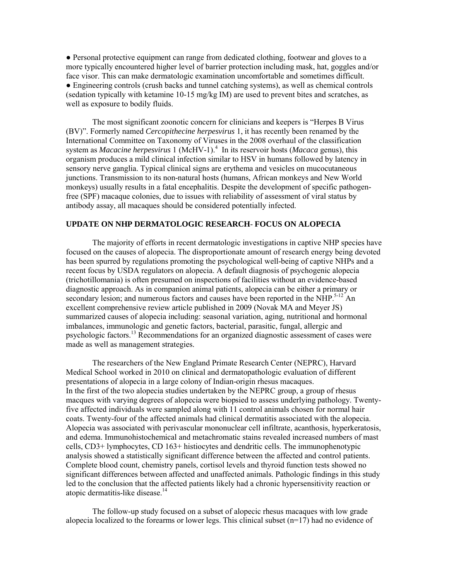● Personal protective equipment can range from dedicated clothing, footwear and gloves to a more typically encountered higher level of barrier protection including mask, hat, goggles and/or face visor. This can make dermatologic examination uncomfortable and sometimes difficult. ● Engineering controls (crush backs and tunnel catching systems), as well as chemical controls (sedation typically with ketamine 10-15 mg/kg IM) are used to prevent bites and scratches, as well as exposure to bodily fluids.

The most significant zoonotic concern for clinicians and keepers is "Herpes B Virus (BV)". Formerly named *Cercopithecine herpesvirus* 1, it has recently been renamed by the International Committee on Taxonomy of Viruses in the 2008 overhaul of the classification system as *Macacine herpesvirus* 1 (McHV-1).<sup>4</sup> In its reservoir hosts (*Macaca* genus), this organism produces a mild clinical infection similar to HSV in humans followed by latency in sensory nerve ganglia. Typical clinical signs are erythema and vesicles on mucocutaneous junctions. Transmission to its non-natural hosts (humans, African monkeys and New World monkeys) usually results in a fatal encephalitis. Despite the development of specific pathogenfree (SPF) macaque colonies, due to issues with reliability of assessment of viral status by antibody assay, all macaques should be considered potentially infected.

#### **UPDATE ON NHP DERMATOLOGIC RESEARCH**- **FOCUS ON ALOPECIA**

The majority of efforts in recent dermatologic investigations in captive NHP species have focused on the causes of alopecia. The disproportionate amount of research energy being devoted has been spurred by regulations promoting the psychological well-being of captive NHPs and a recent focus by USDA regulators on alopecia. A default diagnosis of psychogenic alopecia (trichotillomania) is often presumed on inspections of facilities without an evidence-based diagnostic approach. As in companion animal patients, alopecia can be either a primary or secondary lesion; and numerous factors and causes have been reported in the NHP.<sup>5-12</sup> An excellent comprehensive review article published in 2009 (Novak MA and Meyer JS) summarized causes of alopecia including: seasonal variation, aging, nutritional and hormonal imbalances, immunologic and genetic factors, bacterial, parasitic, fungal, allergic and psychologic factors.<sup>13</sup> Recommendations for an organized diagnostic assessment of cases were made as well as management strategies.

The researchers of the New England Primate Research Center (NEPRC), Harvard Medical School worked in 2010 on clinical and dermatopathologic evaluation of different presentations of alopecia in a large colony of Indian-origin rhesus macaques. In the first of the two alopecia studies undertaken by the NEPRC group, a group of rhesus macques with varying degrees of alopecia were biopsied to assess underlying pathology. Twentyfive affected individuals were sampled along with 11 control animals chosen for normal hair coats. Twenty-four of the affected animals had clinical dermatitis associated with the alopecia. Alopecia was associated with perivascular mononuclear cell infiltrate, acanthosis, hyperkeratosis, and edema. Immunohistochemical and metachromatic stains revealed increased numbers of mast cells, CD3+ lymphocytes, CD 163+ histiocytes and dendritic cells. The immunophenotypic analysis showed a statistically significant difference between the affected and control patients. Complete blood count, chemistry panels, cortisol levels and thyroid function tests showed no significant differences between affected and unaffected animals. Pathologic findings in this study led to the conclusion that the affected patients likely had a chronic hypersensitivity reaction or atopic dermatitis-like disease.<sup>14</sup>

The follow-up study focused on a subset of alopecic rhesus macaques with low grade alopecia localized to the forearms or lower legs. This clinical subset (n=17) had no evidence of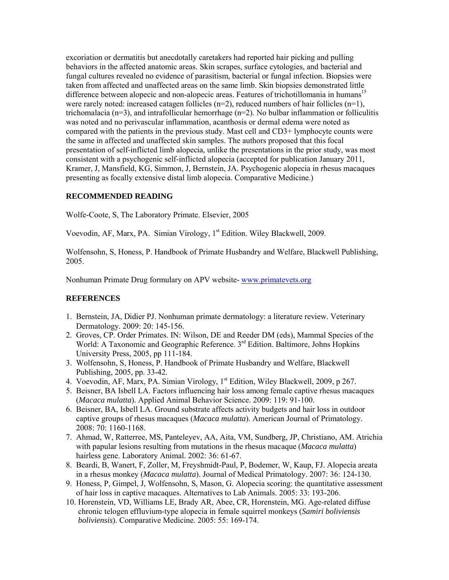excoriation or dermatitis but anecdotally caretakers had reported hair picking and pulling behaviors in the affected anatomic areas. Skin scrapes, surface cytologies, and bacterial and fungal cultures revealed no evidence of parasitism, bacterial or fungal infection. Biopsies were taken from affected and unaffected areas on the same limb. Skin biopsies demonstrated little difference between alopecic and non-alopecic areas. Features of trichotillomania in humans<sup>15</sup> were rarely noted: increased catagen follicles  $(n=2)$ , reduced numbers of hair follicles  $(n=1)$ , trichomalacia (n=3), and intrafollicular hemorrhage (n=2). No bulbar inflammation or folliculitis was noted and no perivascular inflammation, acanthosis or dermal edema were noted as compared with the patients in the previous study. Mast cell and CD3+ lymphocyte counts were the same in affected and unaffected skin samples. The authors proposed that this focal presentation of self-inflicted limb alopecia, unlike the presentations in the prior study, was most consistent with a psychogenic self-inflicted alopecia (accepted for publication January 2011, Kramer, J, Mansfield, KG, Simmon, J, Bernstein, JA. Psychogenic alopecia in rhesus macaques presenting as focally extensive distal limb alopecia. Comparative Medicine.)

## **RECOMMENDED READING**

Wolfe-Coote, S, The Laboratory Primate. Elsevier, 2005

Voevodin, AF, Marx, PA. Simian Virology, 1<sup>st</sup> Edition. Wiley Blackwell, 2009.

Wolfensohn, S, Honess, P. Handbook of Primate Husbandry and Welfare, Blackwell Publishing, 2005.

Nonhuman Primate Drug formulary on APV website- www.primatevets.org

## **REFERENCES**

- 1. Bernstein, JA, Didier PJ. Nonhuman primate dermatology: a literature review. Veterinary Dermatology. 2009: 20: 145-156.
- 2. Groves, CP. Order Primates. IN: Wilson, DE and Reeder DM (eds), Mammal Species of the World: A Taxonomic and Geographic Reference. 3<sup>rd</sup> Edition. Baltimore, Johns Hopkins University Press, 2005, pp 111-184.
- 3. Wolfensohn, S, Honess, P. Handbook of Primate Husbandry and Welfare, Blackwell Publishing, 2005, pp. 33-42.
- 4. Voevodin, AF, Marx, PA. Simian Virology, 1<sup>st</sup> Edition, Wiley Blackwell, 2009, p 267.
- 5. Beisner, BA Isbell LA. Factors influencing hair loss among female captive rhesus macaques (*Macaca mulatta*). Applied Animal Behavior Science. 2009: 119: 91-100.
- 6. Beisner, BA, Isbell LA. Ground substrate affects activity budgets and hair loss in outdoor captive groups of rhesus macaques (*Macaca mulatta*). American Journal of Primatology. 2008: 70: 1160-1168.
- 7. Ahmad, W, Ratterree, MS, Panteleyev, AA, Aita, VM, Sundberg, JP, Christiano, AM. Atrichia with papular lesions resulting from mutations in the rhesus macaque (*Macaca mulatta*) hairless gene. Laboratory Animal. 2002: 36: 61-67.
- 8. Beardi, B, Wanert, F, Zoller, M, Freyshmidt-Paul, P, Bodemer, W, Kaup, FJ. Alopecia areata in a rhesus monkey (*Macaca mulatta*). Journal of Medical Primatology. 2007: 36: 124-130.
- 9. Honess, P, Gimpel, J, Wolfensohn, S, Mason, G. Alopecia scoring: the quantitative assessment of hair loss in captive macaques. Alternatives to Lab Animals. 2005: 33: 193-206.
- 10. Horenstein, VD, Williams LE, Brady AR, Abee, CR, Horenstein, MG. Age-related diffuse chronic telogen effluvium-type alopecia in female squirrel monkeys (*Samiri boliviensis boliviensis*). Comparative Medicine. 2005: 55: 169-174.